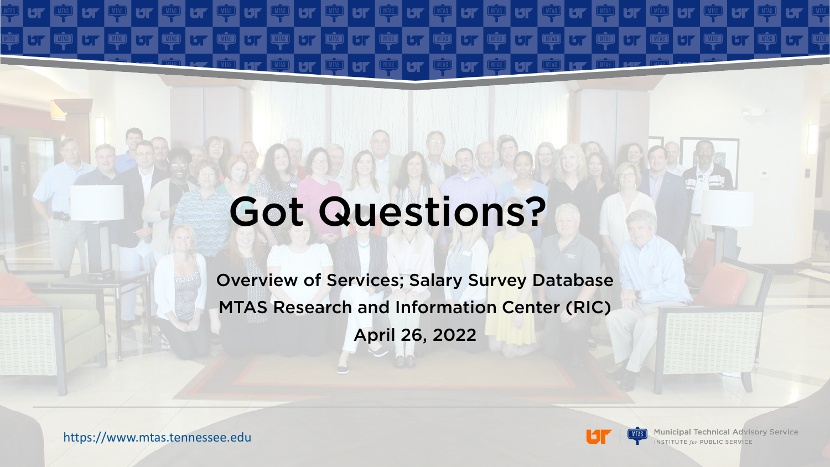# Got Questions?

**MTAS** 

**THIAS** 

**MTAS** 

**HP** 

Overview of Services; Salary Survey Database MTAS Research and Information Center (RIC) April 26, 2022

https://www.mtas.tennessee.edu

**THIAS** 

**BT** 

L

**THE** 

 $|\mathbf{u}|$ 

**HF** 

**THIAS** 

**Lar** 

 $\widehat{(\text{MIAS})}$ 

**Municipal Technical Advisory Service INSTITUTE for PUBLIC SERVICE**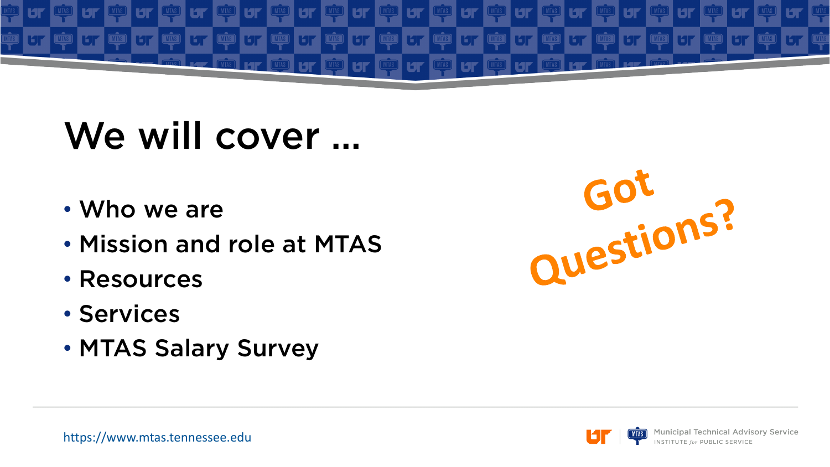

#### We will cover …

- Who we are
- Mission and role at MTAS
- Resources
- Services
- MTAS Salary Survey



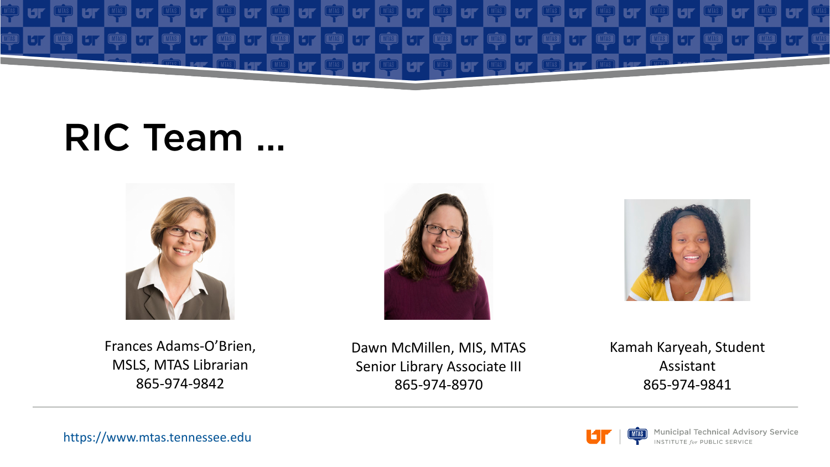

#### RIC Team …



Frances Adams-O'Brien, MSLS, MTAS Librarian 865-974-9842





Dawn McMillen, MIS, MTAS Senior Library Associate III 865-974-8970

Kamah Karyeah, Student Assistant 865-974-9841

**Municipal Technical Advisory Service INSTITUTE for PUBLIC SERVICE** 

https://www.mtas.tennessee.edu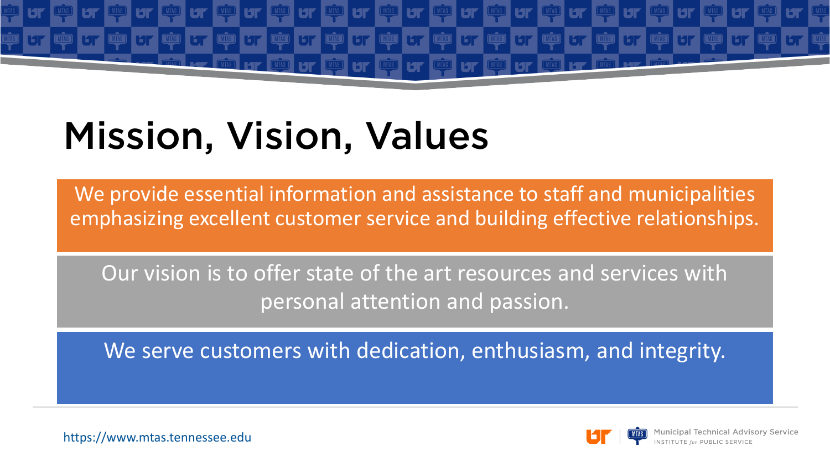

# Mission, Vision, Values

We provide essential information and assistance to staff and municipalities emphasizing excellent customer service and building effective relationships.

Our vision is to offer state of the art resources and services with personal attention and passion.

We serve customers with dedication, enthusiasm, and integrity.

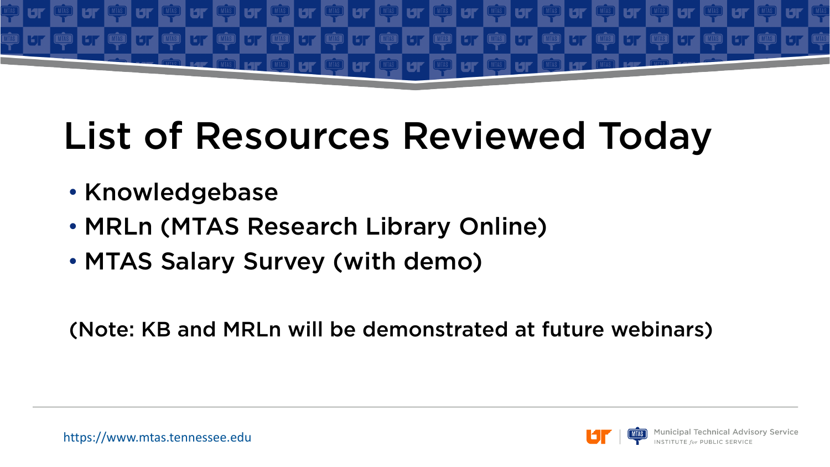

## List of Resources Reviewed Today

- Knowledgebase
- MRLn (MTAS Research Library Online)
- MTAS Salary Survey (with demo)

(Note: KB and MRLn will be demonstrated at future webinars)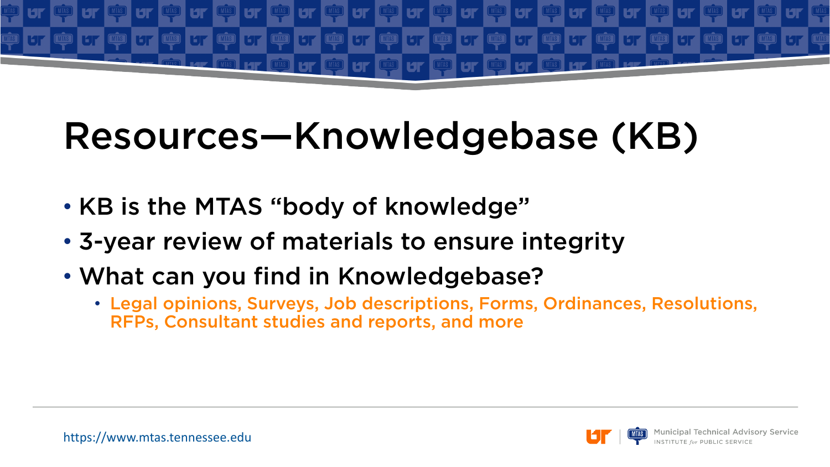

### Resources—Knowledgebase (KB)

- KB is the MTAS "body of knowledge"
- 3-year review of materials to ensure integrity
- What can you find in Knowledgebase?
	- Legal opinions, Surveys, Job descriptions, Forms, Ordinances, Resolutions, RFPs, Consultant studies and reports, and more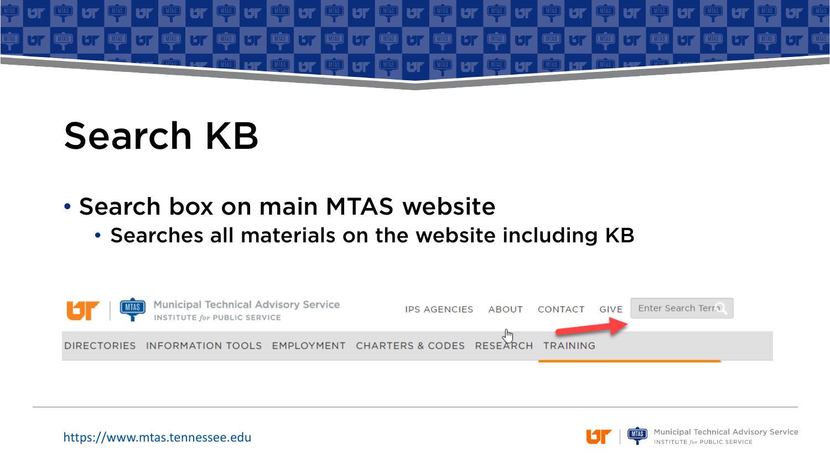

### Search KB

- Search box on main MTAS website
	- Searches all materials on the website including KB



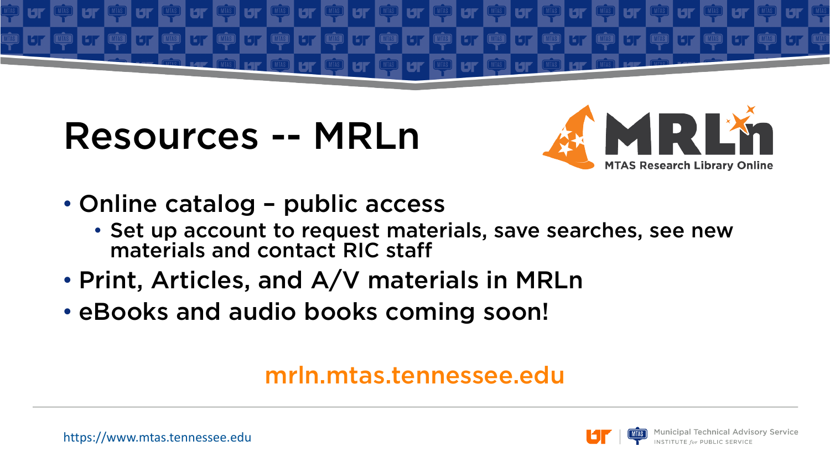

#### Resources -- MRLn



- Online catalog public access
	- Set up account to request materials, save searches, see new materials and contact RIC staff
- Print, Articles, and A/V materials in MRLn
- eBooks and audio books coming soon!

#### mrln.mtas.tennessee.edu

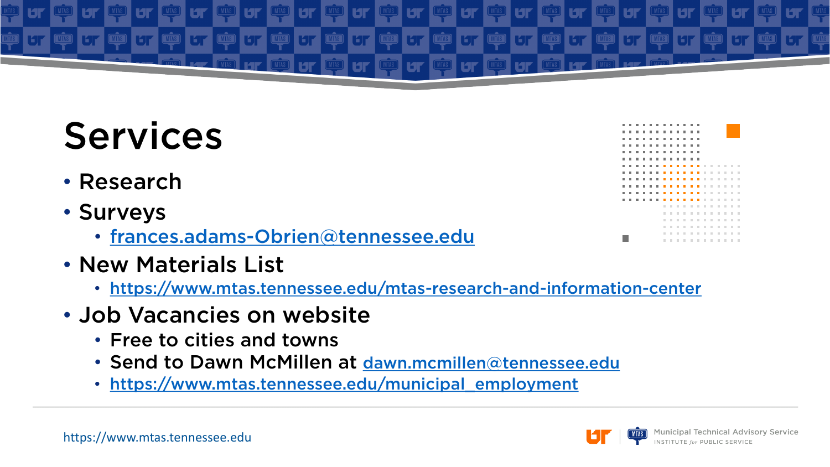

## Services

- Research
- Surveys
	- [frances.adams-Obrien@tennessee.edu](mailto:frances.adams-Obrien@tennessee.edu)
- New Materials List
	- <https://www.mtas.tennessee.edu/mtas-research-and-information-center>
- Job Vacancies on website
	- Free to cities and towns
	- Send to Dawn McMillen at [dawn.mcmillen@tennessee.edu](mailto:dawn.mcmillen@tennessee.edu)
	- [https://www.mtas.tennessee.edu/municipal\\_employment](https://www.mtas.tennessee.edu/municipal_employment)



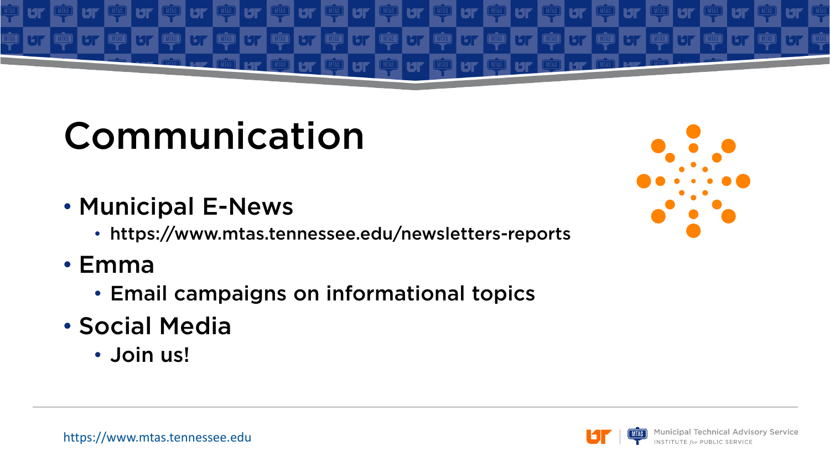

# Communication

- Municipal E-News
	- https://www.mtas.tennessee.edu/newsletters-reports
- Emma
	- Email campaigns on informational topics
- Social Media
	- Join us!



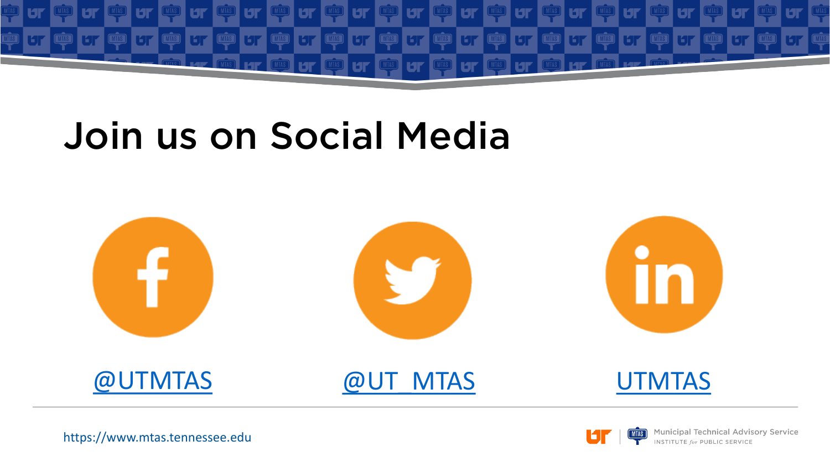

#### Join us on Social Media





**Municipal Technical Advisory Service INSTITUTE for PUBLIC SERVICE**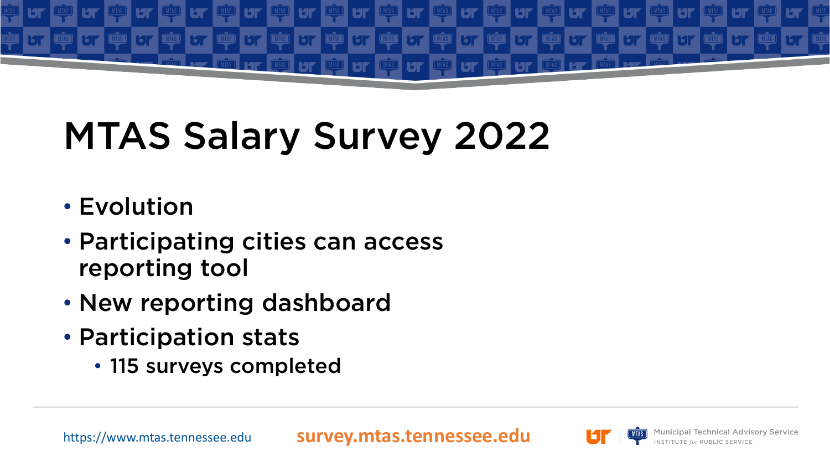

# MTAS Salary Survey 2022

- Evolution
- Participating cities can access reporting tool
- New reporting dashboard
- Participation stats
	- 115 surveys completed

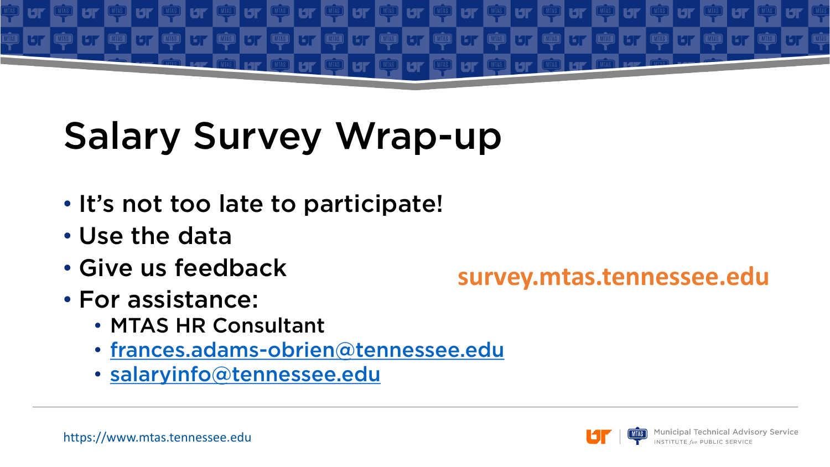

# Salary Survey Wrap-up

- It's not too late to participate!
- Use the data
- Give us feedback
- For assistance:
	- MTAS HR Consultant
	- [frances.adams-obrien@tennessee.edu](mailto:frances.adams-obrien@tennessee.edu)
	- [salaryinfo@tennessee.edu](mailto:salaryinfo@tennessee.edu)

#### **survey.mtas.tennessee.edu**